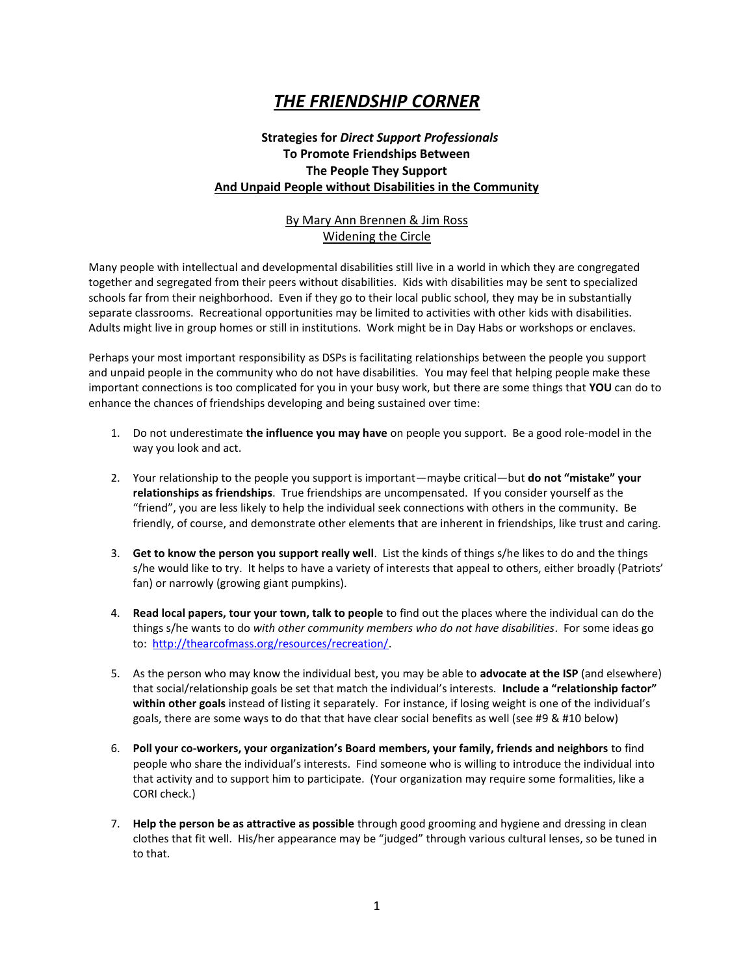## *THE FRIENDSHIP CORNER*

## **Strategies for** *Direct Support Professionals* **To Promote Friendships Between The People They Support And Unpaid People without Disabilities in the Community**

## By Mary Ann Brennen & Jim Ross Widening the Circle

Many people with intellectual and developmental disabilities still live in a world in which they are congregated together and segregated from their peers without disabilities. Kids with disabilities may be sent to specialized schools far from their neighborhood. Even if they go to their local public school, they may be in substantially separate classrooms. Recreational opportunities may be limited to activities with other kids with disabilities. Adults might live in group homes or still in institutions. Work might be in Day Habs or workshops or enclaves.

Perhaps your most important responsibility as DSPs is facilitating relationships between the people you support and unpaid people in the community who do not have disabilities. You may feel that helping people make these important connections is too complicated for you in your busy work, but there are some things that **YOU** can do to enhance the chances of friendships developing and being sustained over time:

- 1. Do not underestimate **the influence you may have** on people you support. Be a good role-model in the way you look and act.
- 2. Your relationship to the people you support is important—maybe critical—but **do not "mistake" your relationships as friendships**. True friendships are uncompensated. If you consider yourself as the "friend", you are less likely to help the individual seek connections with others in the community. Be friendly, of course, and demonstrate other elements that are inherent in friendships, like trust and caring.
- 3. **Get to know the person you support really well**. List the kinds of things s/he likes to do and the things s/he would like to try. It helps to have a variety of interests that appeal to others, either broadly (Patriots' fan) or narrowly (growing giant pumpkins).
- 4. **Read local papers, tour your town, talk to people** to find out the places where the individual can do the things s/he wants to do *with other community members who do not have disabilities*. For some ideas go to: [http://thearcofmass.org/resources/recreation/.](http://thearcofmass.org/resources/recreation/)
- 5. As the person who may know the individual best, you may be able to **advocate at the ISP** (and elsewhere) that social/relationship goals be set that match the individual's interests. **Include a "relationship factor" within other goals** instead of listing it separately. For instance, if losing weight is one of the individual's goals, there are some ways to do that that have clear social benefits as well (see #9 & #10 below)
- 6. **Poll your co-workers, your organization's Board members, your family, friends and neighbors** to find people who share the individual's interests. Find someone who is willing to introduce the individual into that activity and to support him to participate. (Your organization may require some formalities, like a CORI check.)
- 7. **Help the person be as attractive as possible** through good grooming and hygiene and dressing in clean clothes that fit well. His/her appearance may be "judged" through various cultural lenses, so be tuned in to that.